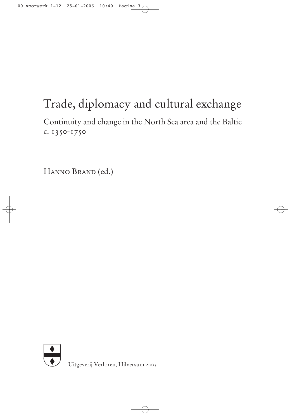# Trade, diplomacy and cultural exchange

Continuity and change in the North Sea area and the Baltic c. 1350-1750

Hanno Brand (ed.)



Uitgeverij Verloren, Hilversum 2005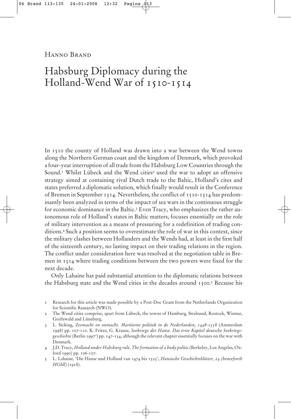Hanno Brand

## Habsburg Diplomacy during the Holland-Wend War of 1510-1514

In 1510 the county of Holland was drawn into a war between the Wend towns along the Northern German coast and the kingdom of Denmark, which provoked a four-year interruption of all trade from the Habsburg Low Countries through the Sound.<sup>1</sup> Whilst Lübeck and the Wend cities<sup>2</sup> used the war to adopt an offensive strategy aimed at containing rival Dutch trade to the Baltic, Holland's cites and states preferred a diplomatic solution, which finally would result in the Conference of Bremen in September 1514. Nevertheless, the conflict of 1510-1514 has predominantly been analyzed in terms of the impact of sea wars in the continuous struggle for economic dominance in the Baltic.<sup>3</sup> Even Tracy, who emphasizes the rather autonomous role of Holland's states in Baltic matters, focuses essentially on the role of military intervention as a means of pressuring for a redefinition of trading conditions.4 Such a position seems to overestimate the role of war in this context, since the military clashes between Hollanders and the Wends had, at least in the first half of the sixteenth century, no lasting impact on their trading relations in the region. The conflict under consideration here was resolved at the negotiation table in Bremen in 1514 where trading conditions between the two powers were fixed for the next decade.

Only Lahaine has paid substantial attention to the diplomatic relations between the Habsburg state and the Wend cities in the decades around 1500.<sup>5</sup> Because his

- 1 Research for this article was made possible by a Post-Doc Grant from the Netherlands Organization for Scientific Research (NWO).
- 2 The Wend cities comprise, apart from Lübeck, the towns of Hamburg, Stralsund, Rostock, Wismar, Greifswald and Lüneburg.
- 3 L. Sicking, *Zeemacht en onmacht. Maritieme politiek in de Nederlanden, 1448-1558* (Amsterdam 1998) pp. 107-110. K. Fritze, G. Krause, *Seekriege der Hanse. Das erste Kapitel deutsche Seekriegsgeschichte* (Berlin 19972 ) pp. 147-154, although the relevant chapter essentially focuses on the war with Denmark.
- 4 J.D. Tracy, *Holland under Habsburg rule*. *The formation of a body politic*(Berkeley, Los Angeles, Oxford 1990) pp. 106-107.
- 5 L. Lahaine, 'Die Hanse und Holland van 1474 bis 1525', *Hansische Geschichtsblätter, 24 (henceforth HGbll)* (1918).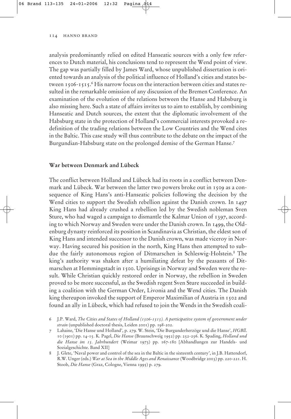analysis predominantly relied on edited Hanseatic sources with a only few references to Dutch material, his conclusions tend to represent the Wend point of view. The gap was partially filled by James Ward, whose unpublished dissertation is oriented towards an analysis of the political influence of Holland's cities and states between 1506-1515.6 His narrow focus on the interaction between cities and states resulted in the remarkable omission of any discussion of the Bremen Conference. An examination of the evolution of the relations between the Hanse and Habsburg is also missing here. Such a state of affairs invites us to aim to establish, by combining Hanseatic and Dutch sources, the extent that the diplomatic involvement of the Habsburg state in the protection of Holland's commercial interests provoked a redefinition of the trading relations between the Low Countries and the Wend cites in the Baltic. This case study will thus contribute to the debate on the impact of the Burgundian-Habsburg state on the prolonged demise of the German Hanse.7

#### **War between Denmark and Lübeck**

The conflict between Holland and Lübeck had its roots in a conflict between Denmark and Lübeck. War between the latter two powers broke out in 1509 as a consequence of King Hans's anti-Hanseatic policies following the decision by the Wend cities to support the Swedish rebellion against the Danish crown. In 1497 King Hans had already crushed a rebellion led by the Swedish nobleman Sven Sture, who had waged a campaign to dismantle the Kalmar Union of 1397, according to which Norway and Sweden were under the Danish crown. In 1499, the Oldenburg dynasty reinforced its position in Scandinavia as Christian, the eldest son of King Hans and intended successor to the Danish crown, was made viceroy in Norway. Having secured his position in the north, King Hans then attempted to subdue the fairly autonomous region of Ditmarschen in Schleswig-Holstein.8 The king's authority was shaken after a humiliating defeat by the peasants of Ditmarschen at Hemmingstadt in 1500. Uprisings in Norway and Sweden were the result. While Christian quickly restored order in Norway, the rebellion in Sweden proved to be more successful, as the Swedish regent Sven Sture succeeded in building a coalition with the German Order, Livonia and the Wend cities. The Danish king thereupon invoked the support of Emperor Maximilian of Austria in 1502 and found an ally in Lübeck, which had refused to join the Wends in the Swedish coali-

<sup>6</sup> J.P. Ward, *The Cities and States of Holland (1506-1515). A participative system of government under strain* (unpublished doctoral thesis, Leiden 2001) pp. 198-202.

<sup>7</sup> Lahaine, 'Die Hanse und Holland', p. 279. W. Stein, 'Die Burgunderherzöge und die Hanse', *HGBll*. 10 (1901) pp. 14-15. K. Pagel, *Die Hanse* (Braunschweig 1952) pp. 252-256. K. Spading, *Holland und die Hanse im 15. Jahrhundert* (Weimar 1973) pp. 167-180 [Abhandlungen zur Handels- und Sozialgeschichte. Band XII]

<sup>8</sup> J. Glete, 'Naval power and control of the sea in the Baltic in the sixteenth century', in J.B. Hattendorf, R.W. Unger (eds.) *War at Sea in the Middle Ages and Renaissance* (Woodbridge 2003) pp. 220-221. H. Stoob, *Die Hanse* (Graz, Cologne, Vienna 1995) p. 279.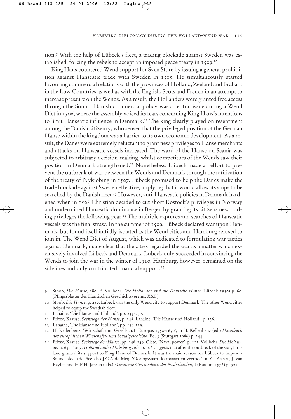habsburg diplomacy during the holland-wend war 115

tion.9 With the help of Lübeck's fleet, a trading blockade against Sweden was established, forcing the rebels to accept an imposed peace treaty in 1509.10

King Hans countered Wend support for Sven Sture by issuing a general prohibition against Hanseatic trade with Sweden in 1505. He simultaneously started favouring commercial relations with the provinces of Holland, Zeeland and Brabant in the Low Countries as well as with the English, Scots and French in an attempt to increase pressure on the Wends. As a result, the Hollanders were granted free access through the Sound. Danish commercial policy was a central issue during a Wend Diet in 1506, where the assembly voiced its fears concerning King Hans's intentions to limit Hanseatic influence in Denmark.<sup>11</sup> The king clearly played on resentment among the Danish citizenry, who sensed that the privileged position of the German Hanse within the kingdom was a barrier to its own economic development. As a result, the Danes were extremely reluctant to grant new privileges to Hanse merchants and attacks on Hanseatic vessels increased. The ward of the Hanse on Scania was subjected to arbitrary decision-making, whilst competitors of the Wends saw their position in Denmark strengthened.12 Nonetheless, Lübeck made an effort to prevent the outbreak of war between the Wends and Denmark through the ratification of the treaty of Nykjöbing in 1507. Lübeck promised to help the Danes make the trade blockade against Sweden effective, implying that it would allow its ships to be searched by the Danish fleet.<sup>13</sup> However, anti-Hanseatic policies in Denmark hardened when in 1508 Christian decided to cut short Rostock's privileges in Norway and undermined Hanseatic dominance in Bergen by granting its citizens new trading privileges the following year.14 The multiple captures and searches of Hanseatic vessels was the final straw. In the summer of 1509, Lübeck declared war upon Denmark, but found itself initially isolated as the Wend cities and Hamburg refused to join in. The Wend Diet of August, which was dedicated to formulating war tactics against Denmark, made clear that the cities regarded the war as a matter which exclusively involved Lübeck and Denmark. Lübeck only succeeded in convincing the Wends to join the war in the winter of 1510. Hamburg, however, remained on the sidelines and only contributed financial support.<sup>15</sup>

- 10 Stoob, *Die Hanse*, p. 280. Lübeck was the only Wend city to support Denmark. The other Wend cities helped to equip the Swedish fleet.
- 11 Lahaine, 'Die Hanse und Holland', pp. 235-237.
- 12 Fritze, Krause, *Seekriege der Hanse*, p. 148. Lahaine, 'Die Hanse und Holland', p. 236.
- 13 Lahaine, 'Die Hanse und Holland', pp. 238-239.
- 14 H. Kellenbenz, 'Wirtschaft und Gesellschaft Europas 1350-1650', in H. Kellenbenz (ed.) *Handbuch der europäischen Wirtschafts- und Sozialgeschichte*. Bd. 3 (Stuttgart 1986) p. 244.
- 15 Fritze, Krause, *Seekriege der Hanse*, pp. 148-149. Glete, 'Naval power', p. 222. Vollbehr, *Die Holländer* p. 63. Tracy, *Holland under Habsburg rule*, p. 106 suggests that after the outbreak of the war, Holland granted its support to King Hans of Denmark. It was the main reason for Lübeck to impose a Sound blockade. See also J.C.A de Meij, 'Oorlogsvaart, kaapvaart en zeeroof', in G. Aseart, J. van Beylen and H.P.H. Jansen (eds.) *Maritieme Geschiedenis der Nederlanden*, I (Bussum 1976) p. 321.

<sup>9</sup> Stoob, *Die Hanse*, 280. F. Vollbehr, *Die Holländer und die Deutsche Hanse* (Lübeck 1930) p. 60. [Pfingstblätter des Hansischen Geschichtsvereins, XXI ]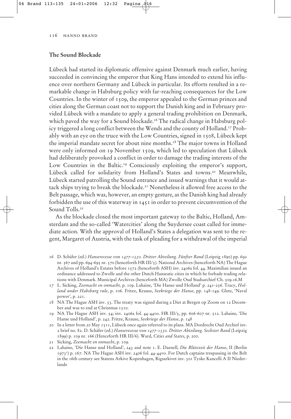### **The Sound Blockade**

Lübeck had started its diplomatic offensive against Denmark much earlier, having succeeded in convincing the emperor that King Hans intended to extend his influence over northern Germany and Lübeck in particular. Its efforts resulted in a remarkable change in Habsburg policy with far-reaching consequences for the Low Countries. In the winter of 1509, the emperor appealed to the German princes and cities along the German coast not to support the Danish king and in February provided Lübeck with a mandate to apply a general trading prohibition on Denmark, which paved the way for a Sound blockade.<sup>16</sup> The radical change in Habsburg policy triggered a long conflict between the Wends and the county of Holland.<sup>17</sup> Probably with an eye on the truce with the Low Countries, signed in 1508, Lübeck kept the imperial mandate secret for about nine months.18 The major towns in Holland were only informed on 19 November 1509, which led to speculation that Lübeck had deliberately provoked a conflict in order to damage the trading interests of the Low Countries in the Baltic.<sup>19</sup> Consciously exploiting the emperor's support, Lübeck called for solidarity from Holland's States and towns.<sup>20</sup> Meanwhile, Lübeck started patrolling the Sound entrance and issued warnings that it would attack ships trying to break the blockade.<sup>21</sup> Nonetheless it allowed free access to the Belt passage, which was, however, an empty gesture, as the Danish king had already forbidden the use of this waterway in 1451 in order to prevent circumvention of the Sound Tolls.<sup>22</sup>

As the blockade closed the most important gateway to the Baltic, Holland, Amsterdam and the so-called 'Watercities' along the Suydersee coast called for immediate action. With the approval of Holland's States a delegation was sent to the regent, Margaret of Austria, with the task of pleading for a withdrawal of the imperial

- 16 D. Schäfer (ed.) *Hanserecesse von 1477-1530. Dritter Abteilung. Fünfter Band* (Leipzig 1890) pp. 692 nr. 567 and pp. 694-695 nr. 570 (henceforth HR III/5). National Archives (henceforth NA) The Hague Archives of Holland's Estates before 1572 (henceforth ASH) inv. 2406a fol. 44. Maximilian issued an ordinance addressed to Zwolle and the other Dutch Hanseatic cities in which he forbade trading relations with Denmark. Municipal Archives (henceforth MA) Zwolle Oud Stadsarchief Ch. 509.16.M
- 17 L. Sicking, *Zeemacht en onmacht,* p. 109. Lahaine, 'Die Hanse und Holland' p. 241-256. Tracy, *Holland under Habsburg rule*, p. 106. Fritze, Krause, *Seekriege der Hanse*, pp. 148-149. Glete, 'Naval power', p. 221.
- 18 NA The Hague ASH inv. 53. The treaty was signed during a Diet at Bergen op Zoom on 12 December and was to end at Christmas 1510.
- 19 NA The Hague ASH inv. 54; inv. 2406a fol. 44-44vo. HR III/5, pp. 606-607 nr. 512. Lahaine, 'Die Hanse und Holland', p. 242. Fritze, Krause, *Seekriege der Hanse*, p. 148
- 20 In a letter from 20 May 1511, Lübeck once again referred to its plans. MA Dordrecht Oud Archief inv. 2 brief no. 82. D. Schäfer (ed.) *Hanserecesse von 1477-1530. Dritter Abteilung. Sechster Band* (Leipzig 1899) p. 109 nr. 166 (Henceforth HR III/6). Ward, *Cities and States,* p. 200.
- 21 Sicking, *Zeemacht en onmacht*, p. 109.
- 22 Lahaine, 'Die Hanse und Holland', 243 and note 1. E. Daenell, *Die Blütezeit der Hanse*, II (Berlin 19732 ) p. 167. NA The Hague ASH inv. 2406 fol. 44-44vo. For Dutch captains trespassing in the Belt in the 16th century see Statens Arkive Kopenhagen, Rigsarkivet inv. 301 Tyske Kancelli A II Niederlande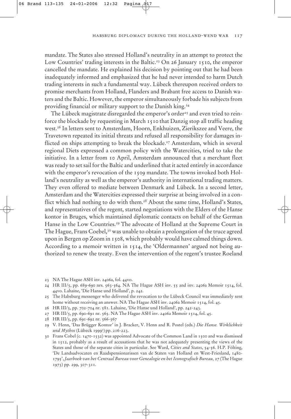mandate. The States also stressed Holland's neutrality in an attempt to protect the Low Countries' trading interests in the Baltic.<sup>23</sup> On 26 January 1510, the emperor cancelled the mandate. He explained his decision by pointing out that he had been inadequately informed and emphasized that he had never intended to harm Dutch trading interests in such a fundamental way. Lübeck thereupon received orders to promise merchants from Holland, Flanders and Brabant free access to Danish waters and the Baltic. However, the emperor simultaneously forbade his subjects from providing financial or military support to the Danish king.<sup>24</sup>

The Lübeck magistrate disregarded the emperor's order<sup>25</sup> and even tried to reinforce the blockade by requesting in March 1510 that Danzig stop all traffic heading west.26 In letters sent to Amsterdam, Hoorn, Enkhuizen, Zierikszee and Veere, the Travetown repeated its initial threats and refused all responsibility for damages inflicted on ships attempting to break the blockade.27 Amsterdam, which in several regional Diets expressed a common policy with the Watercities, tried to take the initiative. In a letter from 10 April, Amsterdam announced that a merchant fleet was ready to set sail for the Baltic and underlined that it acted entirely in accordance with the emperor's revocation of the 1509 mandate. The towns invoked both Holland's neutrality as well as the emperor's authority in international trading matters. They even offered to mediate between Denmark and Lübeck. In a second letter, Amsterdam and the Watercities expressed their surprise at being involved in a conflict which had nothing to do with them.<sup>28</sup> About the same time, Holland's States, and representatives of the regent, started negotiations with the Elders of the Hanse kontor in Bruges, which maintained diplomatic contacts on behalf of the German Hanse in the Low Countries.<sup>29</sup> The advocate of Holland at the Supreme Court in The Hague, Frans Coebel, $30$  was unable to obtain a prolongation of the truce agreed upon in Bergen op Zoom in 1508, which probably would have calmed things down. According to a memoir written in 1514, the 'Oldermannen' argued not being authorized to renew the treaty. Even the intervention of the regent's trustee Roeland

26 HR III/5, pp. 702-704 nr. 581. Lahaine, 'Die Hanse und Holland', pp. 242-243.

28 HR III/5, pp. 691-692 nr. 566-567

29 V. Henn, 'Das Brügger Kontor' in J. Bracker, V. Henn and R. Postel (eds.) *Die Hanse. Wirklichkeit und Mythos* (Lübeck 19993 ) pp. 216-223.

30 Frans Cobel (c. 1470-1532) was appointed Advocate of the Common Land in 1500 and was dismissed in 1512, probably as a result of accusations that he was not adequately presenting the views of the States and those of the separate cities in particular. See Ward, *Cities and States*, 54-56. H.P. Fölting, 'De Landsadvocaten en Raadspensionarissen van de Staten van Holland en West-Friesland, 1480- 1795', *Jaarboek van het Centraal Bureau voor Genealogie en het Iconografisch Bureau,* 27 (The Hague 1973) pp. 299, 307-311.

<sup>23</sup> NA The Hague ASH inv. 2406a, fol. 44vo.

<sup>24</sup> HR III/5, pp. 689-690 nrs. 563-564. NA The Hague ASH inv. 55 and inv. 2406a Memoir 1514, fol. 44vo. Lahaine, 'Die Hanse und Holland', p. 242.

<sup>25</sup> The Habsburg messenger who delivered the revocation to the Lübeck Council was immediately sent home without receiving an answer. NA The Hague ASH inv. 2406a Memoir 1514, fol. 45.

<sup>27</sup> HR III/5, pp. 690-691 nr. 565. NA The Hague ASH inv. 2406a Memoir 1514, fol. 45.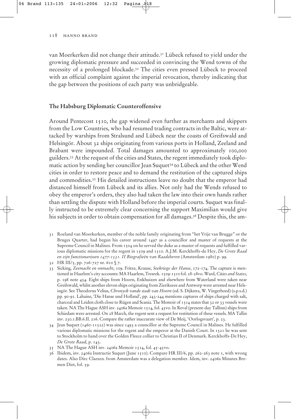van Moerkerken did not change their attitude.31 Lübeck refused to yield under the growing diplomatic pressure and succeeded in convincing the Wend towns of the necessity of a prolonged blockade.32 The cities even pressed Lübeck to proceed with an official complaint against the imperial revocation, thereby indicating that the gap between the positions of each party was unbridgeable.

#### **The Habsburg Diplomatic Counteroffensive**

Around Pentecost 1510, the gap widened even further as merchants and skippers from the Low Countries, who had resumed trading contracts in the Baltic, were attacked by warships from Stralsund and Lübeck near the coasts of Greifswald and Helsingör. About 32 ships originating from various ports in Holland, Zeeland and Brabant were impounded. Total damages amounted to approximately 100,000 guilders.33 At the request of the cities and States, the regent immediately took diplomatic action by sending her councillor Jean Suquet34 to Lübeck and the other Wend cities in order to restore peace and to demand the restitution of the captured ships and commodities.35 His detailed instructions leave no doubt that the emperor had distanced himself from Lübeck and its allies. Not only had the Wends refused to obey the emperor's orders, they also had taken the law into their own hands rather than settling the dispute with Holland before the imperial courts. Suquet was finally instructed to be extremely clear concerning the support Maximilian would give his subjects in order to obtain compensation for all damages.<sup>36</sup> Despite this, the am-

31 Roeland van Moerkerken, member of the noble family originating from "het Vrije van Brugge" or the Bruges Quarter, had begun his career around 1497 as a councillor and master of requests at the Supreme Council in Malines. From 1504 on he served the duke as a master of requests and fulfilled various diplomatic missions for the regent in 1509 and 1510. A.J.M. Kerckhoffs-de Hey, *De Grote Raad en zijn functionarissen 1477-1531. II Biografieën van Raadsheren* (Amsterdam 1980) p. 99.

- 33 Sicking, *Zeemacht en onmacht*, 109. Fritze, Krause, *Seekriege der Hanse*, 172-174. The capture is mentioned in Haarlem's city accounts: MA Haarlem, Tresrek. 1509-1510 fol. 28-28vo. Ward, *Cities and States*, p. 198 note 454. Eight ships from Hoorn, Enkhuizen and elsewhere from Waterland were taken near Greifswald, whilst another eleven ships originating from Zierikszee and Antwerp were arrested near Helsingör. See Theodorus Velius, *Chronyck vande stadt van Hoorn* (ed. S. Dijkstra, W. Vingerhoed) (s.p.s.d.) pp. 90-91. Lahaine, 'Die Hanse und Holland', pp. 243-244 mentions captures of ships charged with salt, charcoal and Leiden cloth close to Rügen and Scania. The Memoir of 1514 states that 32 or 33 vessels were taken. NA The Hague ASH inv. 2406a Memoir 1514, fol. 45vo. In Reval (present-day Tallinn) ships from Schiedam were arrested. On 28 March, the regent sent a request for restitution of these vessels. MA Tallin inv. 230.1.BB.6.II. 216. Compare the rather inaccurate view of De Meij, 'Oorlogsvaart', p. 23.
- 34 Jean Suquet (1460-11522) was since 1493 a councillor at the Supreme Council in Malines. He fulfilled various diplomatic missions for the regent and the emperor at the Danish Court. In 1521 he was sent to Stockholm to hand over the Golden Fleece collier to Christian II of Denmark. Kerckhoffs-De Hey, *De Grote Raad*, p. 143.
- 35 NA The Hague ASH inv. 2406a Memoir 1514, fol. 45-45vo.
- 36 Ibidem, inv. 2406a Instructie Suquet (June 1510). Compare HR III/6, pp. 262-263 note 1, with wrong dates. Also Dirc Claeszn. from Amsterdam was a delegation member. Idem, inv. 2406a Minutes Bremen Diet, fol. 59.

<sup>32</sup> HR III/5, pp. 726-727 nr. 610 § 7.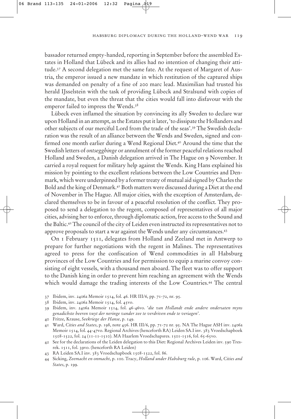bassador returned empty-handed, reporting in September before the assembled Estates in Holland that Lübeck and its allies had no intention of changing their attitude.37 A second delegation met the same fate. At the request of Margaret of Austria, the emperor issued a new mandate in which restitution of the captured ships was demanded on penalty of a fine of 200 marc lead. Maximilian had trusted his herald IJsselstein with the task of providing Lübeck and Stralsund with copies of the mandate, but even the threat that the cities would fall into disfavour with the emperor failed to impress the Wends.<sup>38</sup>

Lübeck even inflamed the situation by convincing its ally Sweden to declare war upon Holland in an attempt, as the Estates put it later, 'to dissipate the Hollanders and other subjects of our merciful Lord from the trade of the seas'.39 The Swedish declaration was the result of an alliance between the Wends and Sweden, signed and confirmed one month earlier during a Wend Regional Diet.40 Around the time that the Swedish letters of *ontsegghinge* or annulment of the former peaceful relations reached Holland and Sweden, a Danish delegation arrived in The Hague on 9 November. It carried a royal request for military help against the Wends. King Hans explained his mission by pointing to the excellent relations between the Low Countries and Denmark, which were underpinned by a former treaty of mutual aid signed by Charles the Bold and the king of Denmark.41 Both matters were discussed during a Diet at the end of November in The Hague. All major cities, with the exception of Amsterdam, declared themselves to be in favour of a peaceful resolution of the conflict. They proposed to send a delegation to the regent, composed of representatives of all major cities, advising her to enforce, through diplomatic action, free access to the Sound and the Baltic.42 The council of the city of Leiden even instructed its representatives not to approve proposals to start a war against the Wends under any circumstances.43

On 1 February 1511, delegates from Holland and Zeeland met in Antwerp to prepare for further negotiations with the regent in Malines. The representatives agreed to press for the confiscation of Wend commodities in all Habsburg provinces of the Low Countries and for permission to equip a marine convoy consisting of eight vessels, with a thousand men aboard. The fleet was to offer support to the Danish king in order to prevent him reaching an agreement with the Wends which would damage the trading interests of the Low Countries.<sup>44</sup> The central

- 37 Ibidem, inv. 2406a Memoir 1514, fol. 46. HR III/6, pp. 71-72, nr. 95.
- 38 Ibidem, inv. 2406a Memoir 1514, fol. 45vo.
- 39 Ibidem, inv. 2406a Memoir 1514, fol. 46-46vo. '*die van Hollandt ende andere ondersaten myns genadichste heeren vuyt der neringe vander zee te verdriven ende te veriagen*'.
- 40 Fritze, Krause, *Seekriege der Hanse*, p. 149.
- 41 Ward, *Cities and States*, p. 198, note 456. HR III/6, pp. 71-72 nr. 95. NA The Hague ASH inv. 2406a Memoir 1514, fol. 44-47vo. Regional Archives (henceforth RA) Leiden SA.I inv. 383 Vroedschapboek 1508-1522, fol. 24 (11-11-1510). MA Haarlem Vroedschapsres. 1501-1516, fol. 65-65vo.
- 42 See for the declarations of the Leiden delegation to this Diet: Regional Archives Leiden inv. 590 Tresrek. 1511, fol. 39vo. (henceforth RA Leiden)
- 43 RA Leiden SA.I inv. 383 Vroedschapboek 1508-1522, fol. 86.
- 44 Sicking, *Zeemacht en onmacht*, p. 100. Tracy, *Holland under Habsburg rule*, p. 106. Ward, *Cities and States*, p. 199.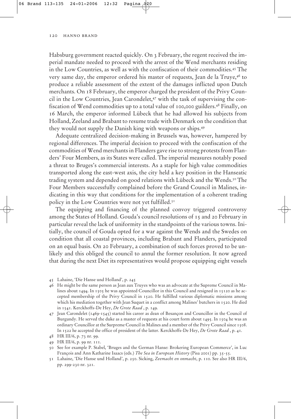Habsburg government reacted quickly. On 3 February, the regent received the imperial mandate needed to proceed with the arrest of the Wend merchants residing in the Low Countries, as well as with the confiscation of their commodities.45 The very same day, the emperor ordered his master of requests, Jean de la Truye,46 to produce a reliable assessment of the extent of the damages inflicted upon Dutch merchants. On 18 February, the emperor charged the president of the Privy Council in the Low Countries, Jean Carondelet,47 with the task of supervising the confiscation of Wend commodities up to a total value of 100,000 guilders.48 Finally, on 16 March, the emperor informed Lübeck that he had allowed his subjects from Holland, Zeeland and Brabant to resume trade with Denmark on the condition that they would not supply the Danish king with weapons or ships.49

Adequate centralized decision-making in Brussels was, however, hampered by regional differences. The imperial decision to proceed with the confiscation of the commodities of Wend merchants in Flanders gave rise to strong protests from Flanders' Four Members, as its States were called. The imperial measures notably posed a threat to Bruges's commercial interests. As a staple for high value commodities transported along the east-west axis, the city held a key position in the Hanseatic trading system and depended on good relations with Lübeck and the Wends.<sup>50</sup> The Four Members successfully complained before the Grand Council in Malines, indicating in this way that conditions for the implementation of a coherent trading policy in the Low Countries were not yet fulfilled.<sup>51</sup>

The equipping and financing of the planned convoy triggered controversy among the States of Holland. Gouda's council resolutions of 15 and 20 February in particular reveal the lack of uniformity in the standpoints of the various towns. Initially, the council of Gouda opted for a war against the Wends and the Swedes on condition that all coastal provinces, including Brabant and Flanders, participated on an equal basis. On 20 February, a combination of such forces proved to be unlikely and this obliged the council to annul the former resolution. It now agreed that during the next Diet its representatives would propose equipping eight vessels

- 46 He might be the same person as Jean aux Truyes who was an advocate at the Supreme Council in Malines about 1494. In 1505 he was appointed Councillor in this Council and resigned in 15120 as he accepted membership of the Privy Council in 1520. He fulfilled various diplomatic missions among which his mediation together with Jean Suquet in a conflict among Malines' butchers in 1520. He died in 1541. Kerckhoffs-De Hey, *De Grote Raad* , p. 149.
- 47 Jean Carondelet (1469-1545) started his career as dean of Besançon and Councillor in the Council of Burgundy. He served the duke as a master of requests at his court form about 1495. In 1504 he was an ordinary Councillor at the Surpreme Council in Malines and a member of the Privy Council since 1508. In 1522 he accepted the office of president of the latter. Kerckhoffs-De Hey, *De Grote Raad* , p. 41.
- 48 HR III/6, p. 73 nr. 99.
- 49 HR III/6, p. 99 nr. 111.
- 50 See for example P. Stabel, 'Bruges and the German Hanse: Brokering European Commerce', in Luc François and Ann Katharine Isaacs (eds.) *The Sea in European History* (Pisa 2001) pp. 35-55.
- 51 Lahaine, 'Die Hanse und Holland', p. 250. Sicking, *Zeemacht en onmacht*, p. 110. See also HR III/6, pp. 299-230 nr. 321.

<sup>45</sup> Lahaine, 'Die Hanse und Holland', p. 245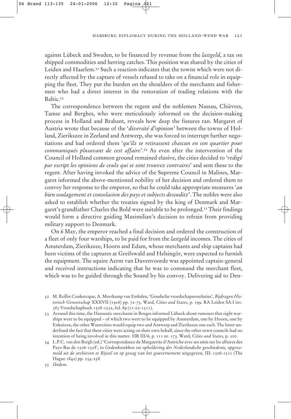against Lübeck and Sweden, to be financed by revenue from the *lastgeld*, a tax on shipped commodities and herring catches. This position was shared by the cities of Leiden and Haarlem.52 Such a reaction indicates that the towns which were not directly affected by the capture of vessels refused to take on a financial role in equipping the fleet. They put the burden on the shoulders of the merchants and fishermen who had a direct interest in the restoration of trading relations with the Baltic.53

The correspondence between the regent and the noblemen Nassau, Chièvres, Tamse and Berghes, who were meticulously informed on the decision-making process in Holland and Brabant, reveals how deep the fissures ran. Margaret of Austria wrote that because of the '*diversité d'opinion'* between the towns of Holland, Zierikszee in Zeeland and Antwerp, she was forced to interrupt further negotiations and had ordered them '*qu'ilz se retirassent chascun en son quartier pour communiqués plusavant de cest affaire*'.54 As even after the intervention of the Council of Holland common ground remained elusive, the cities decided to '*redigé par escript les opinions de ceulx qui se sont trouvez contraires*' and sent these to the regent. After having invoked the advice of the Supreme Council in Malines, Margaret informed the above-mentioned nobility of her decision and ordered them to convey her response to the emperor, so that he could take appropriate measures '*au bien soulagement et consolacion des pays et subjects dessuditz*'. The nobles were also asked to establish whether the treaties signed by the king of Denmark and Margaret's grandfather Charles the Bold were suitable to be prolonged.55 Their findings would form a directive guiding Maximilian's decision to refrain from providing military support to Denmark.

On 6 May, the emperor reached a final decision and ordered the construction of a fleet of only four warships, to be paid for from the *lastgeld* incomes. The cities of Amsterdam, Zierikszee, Hoorn and Edam, whose merchants and ship captains had been victims of the captures at Greifswald and Helsingör, were expected to furnish the equipment. The squire Aernt van Duvenvoorde was appointed captain-general and received instructions indicating that he was to command the merchant fleet, which was to be guided through the Sound by his convoy. Delivering aid to Den-

54 L.P.C. van den Bergh (ed.) 'Correspondance de Marguerite d'Autriche avec ses amis sur les affaires des Pays-Bas de 1506-1528', in *Gedenkstukken tot opheldering der Nederlandsche geschiedenis, opgezameld uit de archieven te Rijssel en op gezag van het gouvernement uitgegeven,* III: 1506-1511 (The Hague 1842) pp. 254-258.

55 *Ibidem*.

<sup>52</sup> M. Rollin Coukercque, A. Meerkamp van Embden, 'Goudsche vroedschapsresoluties', *Bijdragen Historisch Genootschap* XXXVII (1916) pp. 72-73. Ward, *Cities and States*, p. 199. RA Leiden SA.I inv. 383 Vroedschapboek 1508-1522, fol. 89 (11-02-1511).

<sup>53</sup> Around this time, the Hanseatic merchants in Bruges informed Lübeck about rumours that eight warships were to be equipped – of which two were to be equipped by Amsterdam, one by Hoorn, one by Enkuizen, the other Watercities would equip two and Antwerp and Zierikszee one each. The letter underlined the fact that these cities were acting on their own behalf, since the other town councils had no intention of being involved in this matter. HR III/6, p. 111 nr. 173. Ward, *Cities and States*, p. 200.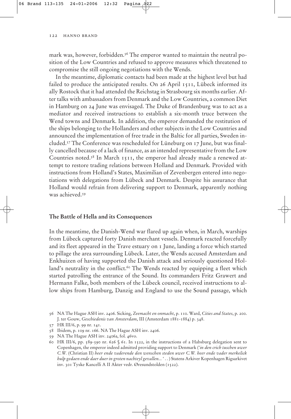mark was, however, forbidden.<sup>56</sup> The emperor wanted to maintain the neutral position of the Low Countries and refused to approve measures which threatened to compromise the still ongoing negotiations with the Wends.

In the meantime, diplomatic contacts had been made at the highest level but had failed to produce the anticipated results. On 26 April 1511, Lübeck informed its ally Rostock that it had attended the Reichstag in Strasbourg six months earlier. After talks with ambassadors from Denmark and the Low Countries, a common Diet in Hamburg on 24 June was envisaged. The Duke of Brandenburg was to act as a mediator and received instructions to establish a six-month truce between the Wend towns and Denmark. In addition, the emperor demanded the restitution of the ships belonging to the Hollanders and other subjects in the Low Countries and announced the implementation of free trade in the Baltic for all parties, Sweden included.57 The Conference was rescheduled for Lüneburg on 17 June, but was finally cancelled because of a lack of finance, as an intended representative from the Low Countries noted.58 In March 1511, the emperor had already made a renewed attempt to restore trading relations between Holland and Denmark. Provided with instructions from Holland's States, Maximilian of Zevenbergen entered into negotiations with delegations from Lübeck and Denmark. Despite his assurance that Holland would refrain from delivering support to Denmark, apparently nothing was achieved.<sup>59</sup>

#### **The Battle of Hella and its Consequences**

In the meantime, the Danish-Wend war flared up again when, in March, warships from Lübeck captured forty Danish merchant vessels. Denmark reacted forcefully and its fleet appeared in the Trave estuary on 1 June, landing a force which started to pillage the area surrounding Lübeck. Later, the Wends accused Amsterdam and Enkhuizen of having supported the Danish attack and seriously questioned Holland's neutrality in the conflict.<sup>60</sup> The Wends reacted by equipping a fleet which started patrolling the entrance of the Sound. Its commanders Fritz Grawert and Hermann Falke, both members of the Lübeck council, received instructions to allow ships from Hamburg, Danzig and England to use the Sound passage, which

<sup>56</sup> NA The Hague ASH inv. 2406. Sicking, *Zeemacht en onmacht*, p. 110. Ward, *Cities and States*, p. 200. J. ter Gouw, *Geschiedenis van Amsterdam*, III (Amsterdam 1881-1884) p. 348.

<sup>57</sup> HR III/6, p. 99 nr. 141.

<sup>58</sup> Ibidem, p. 109 nr. 166. NA The Hague ASH inv. 2406.

<sup>59</sup> NA The Hague ASH inv. 2406a, fol. 46vo.

<sup>60</sup> HR III/6, pp. 589-590 nr. 626  $\%$  61. In 1522, in the instructions of a Habsburg delegation sent to Copenhagen, the emperor indeed admitted providing support to Denmark ('*in den crich tuschen uwer C.W.* (Christian II) *heer ende vaderende den wenschen steden uwer C.W. heer ende vader merkelick hulp gedaen ende daer duer in groten nachteyl gevallen...* ' . . ) Statens Arkiver Kopenhagen Rigsarkivet inv. 301 Tyske Kancelli A II Akter vedr. Øresundstolden (1522).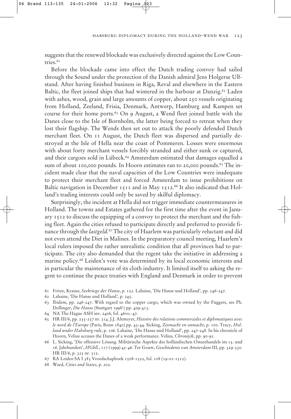suggests that the renewed blockade was exclusively directed against the Low Countries.<sup>61</sup>

Before the blockade came into effect the Dutch trading convoy had sailed through the Sound under the protection of the Danish admiral Jens Holgerse Ulfstand. After having finished business in Riga, Reval and elsewhere in the Eastern Baltic, the fleet joined ships that had wintered in the harbour at Danzig.<sup>62</sup> Laden with ashes, wood, grain and large amounts of copper, about 250 vessels originating from Holland, Zeeland, Frisia, Denmark, Antwerp, Hamburg and Kampen set course for their home ports.<sup>63</sup> On 9 August, a Wend fleet joined battle with the Danes close to the Isle of Bornholm, the latter being forced to retreat when they lost their flagship. The Wends then set out to attack the poorly defended Dutch merchant fleet. On 11 August, the Dutch fleet was dispersed and partially destroyed at the Isle of Hella near the coast of Pommeren. Losses were enormous with about forty merchant vessels forcibly stranded and either sunk or captured, and their cargoes sold in Lübeck.<sup>64</sup> Amsterdam estimated that damages equalled a sum of about 100,000 pounds. In Hoorn estimates ran to 20,000 pounds.<sup>65</sup> The incident made clear that the naval capacities of the Low Countries were inadequate to protect their merchant fleet and forced Amsterdam to issue prohibitions on Baltic navigation in December 1511 and in May 1512.<sup>66</sup> It also indicated that Holland's trading interests could only be saved by skilful diplomacy.

Surprisingly, the incident at Hella did not trigger immediate countermeasures in Holland. The towns and Estates gathered for the first time after the event in January 1512 to discuss the equipping of a convoy to protect the merchant and the fishing fleet. Again the cities refused to participate directly and preferred to provide finance through the *lastgeld.*<sup>67</sup> The city of Haarlem was particularly reluctant and did not even attend the Diet in Malines. In the preparatory council meeting, Haarlem's local rulers imposed the rather unrealistic condition that all provinces had to participate. The city also demanded that the regent take the initiative in addressing a marine policy.68 Leiden's vote was determined by its local economic interests and in particular the maintenance of its cloth industry. It limited itself to asking the regent to continue the peace treaties with England and Denmark in order to prevent

- 61 Fritze, Krause, *Seekriege der Hanse*, p. 152. Lahaine, 'Die Hanse und Holland', pp. 246-247.
- 62 Lahaine, 'Die Hanse und Holland', p. 245.
- 63 Ibidem, pp. 246-247. With regard to the copper cargo, which was owned by the Fuggers, see Ph. Dollinger, *Die Hanse* (Stuttgart 19985 ) pp. 409-413.
- 64 NA The Hague ASH inv. 2406, fol. 46vo.-47.
- 65 HR III/6, pp. 255-257 nr. 214. J.J. Altmeyer, *Histoire des relations commerciales et diplomatiques avec le nord de l'Europe* (Paris, Bonn 1840) pp. 43-44. Sicking, *Zeemacht en onmacht*, p. 100. Tracy, *Holland under Habsburg rule*, p. 106. Lahaine, 'Die Hanse und Holland', pp. 247-248. In his chronicle of Hoorn, Velius accuses the Danes of a weak performance. Velius, *Chronijck*, pp. 90-91.
- 66 L. Sicking, 'Die offensive Lösung. Militärische Aspekte des holländischen Ostseehandels im 15. und 16. Jahrhundert', *HGbll.*, 117 (1999) 45-46. Ter Gouw, *Geschiedenis van Amsterdam* III, pp. 329-330. HR III/6, p. 325 nr. 312.
- 67 RA Leiden SA I 383 Vroedschapboek 1508-1522, fol. 108 (19-01-1512).
- 68 Ward, *Cities and States*, p. 202.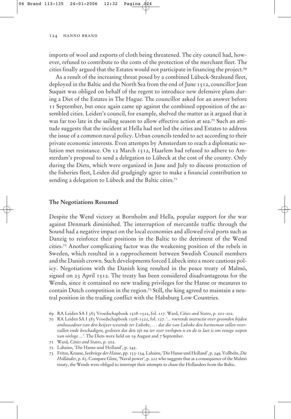imports of wool and exports of cloth being threatened. The city council had, however, refused to contribute to the costs of the protection of the merchant fleet. The cities finally argued that the Estates would not participate in financing the project.<sup>69</sup>

As a result of the increasing threat posed by a combined Lübeck-Stralsund fleet, deployed in the Baltic and the North Sea from the end of June 1512, councillor Jean Suquet was obliged on behalf of the regent to introduce new defensive plans during a Diet of the Estates in The Hague. The councillor asked for an answer before 11 September, but once again came up against the combined opposition of the assembled cities. Leiden's council, for example, shelved the matter as it argued that it was far too late in the sailing season to allow effective action at sea.<sup>70</sup> Such an attitude suggests that the incident at Hella had not led the cities and Estates to address the issue of a common naval policy. Urban councils tended to act according to their private economic interests. Even attempts by Amsterdam to reach a diplomatic solution met resistance. On 12 March 1512, Haarlem had refused to adhere to Amsterdam's proposal to send a delegation to Lübeck at the cost of the county. Only during the Diets, which were organized in June and July to discuss protection of the fisheries fleet, Leiden did grudgingly agree to make a financial contribution to sending a delegation to Lübeck and the Baltic cities.<sup>71</sup>

#### **The Negotiations Resumed**

Despite the Wend victory at Bornholm and Hella, popular support for the war against Denmark diminished. The interruption of mercantile traffic through the Sound had a negative impact on the local economies and allowed rival ports such as Danzig to reinforce their positions in the Baltic to the detriment of the Wend cities.72 Another complicating factor was the weakening position of the rebels in Sweden, which resulted in a rapprochement between Swedish Council members and the Danish crown. Such developments forced Lübeck into a more cautious policy. Negotiations with the Danish king resulted in the peace treaty of Malmö, signed on 23 April 1512. The treaty has been considered disadvantageous for the Wends, since it contained no new trading privileges for the Hanse or measures to contain Dutch competition in the region.73 Still, the king agreed to maintain a neutral position in the trading conflict with the Habsburg Low Countries.

<sup>69</sup> RA Leiden SA I 383 Vroedschapboek 1508-1522, fol. 117. Ward, *Cities and States*, p. 201-202.

<sup>70</sup> RA Leiden SA I 383 Vroedschapboek 1508-1522, fol. 127. '*... roerende instructie over gesonden bijden ambassadeur van den keijzer wesende ter Lubeke, . . . dat die van Lubeke den harincman sullen overvallen ende beschadigen, gesloten dat den tijt nu ter zeer verlopen is en de te laet is om eenige scepen van oirloge ...'.* The Diets were held on 19 August and 7 September.

<sup>71</sup> Ward, *Cities and States*, p. 202.

<sup>72</sup> Lahaine, 'Die Hanse und Holland', p. 245.

<sup>73</sup> Fritze, Krause, *Seekriege der Hanse*, pp. 153-154. Lahaine, 'Die Hanse und Holland', p. 249. Vollbehr, *Die Holländer*, p. 63. Compare Glete, 'Naval power', p. 222 who suggests that as a consequence of the Malmö treaty, the Wends were obliged to interrupt their attempts to chase the Hollanders from the Baltic.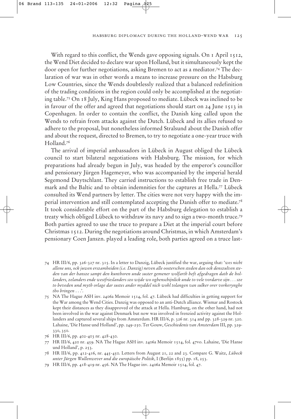#### habsburg diplomacy during the holland-wend war 125

With regard to this conflict, the Wends gave opposing signals. On 1 April 1512, the Wend Diet decided to declare war upon Holland, but it simultaneously kept the door open for further negotiations, asking Bremen to act as a mediator.74 The declaration of war was in other words a means to increase pressure on the Habsburg Low Countries, since the Wends doubtlessly realized that a balanced redefinition of the trading conditions in the region could only be accomplished at the negotiating table.75 On 18 July, King Hans proposed to mediate. Lübeck was inclined to be in favour of the offer and agreed that negotiations should start on 24 June 1513 in Copenhagen. In order to contain the conflict, the Danish king called upon the Wends to refrain from attacks against the Dutch. Lübeck and its allies refused to adhere to the proposal, but nonetheless informed Stralsund about the Danish offer and about the request, directed to Bremen, to try to negotiate a one-year truce with Holland.76

The arrival of imperial ambassadors in Lübeck in August obliged the Lübeck council to start bilateral negotiations with Habsburg. The mission, for which preparations had already begun in July, was headed by the emperor's councillor and pensionary Jürgen Hagemeyer, who was accompanied by the imperial herald Segemond Duytschlant. They carried instructions to establish free trade in Denmark and the Baltic and to obtain indemnities for the captures at Hella.77 Lübeck consulted its Wend partners by letter. The cities were not very happy with the imperial intervention and still contemplated accepting the Danish offer to mediate.78 It took considerable effort on the part of the Habsburg delegation to establish a treaty which obliged Lübeck to withdraw its navy and to sign a two-month truce.79 Both parties agreed to use the truce to prepare a Diet at the imperial court before Christmas 1512. During the negotiations around Christmas, in which Amsterdam's pensionary Coen Janszn. played a leading role, both parties agreed on a truce last-

- 74 HR III/6, pp. 326-327 nr. 315. In a letter to Danzig, Lübeck justified the war, arguing that: '*wes nicht allene uns, ock juwen erszamheiden (i.e. Danzig) neven alle oosterschen steden dan ock denszulven steden van der hansze sampt den kunthoren unde suster gemener wolfarth heft afgedragen dath de hollanders, zelanders ende westfrieslanders szo wijde wo oghenschijnlick unde to vele vordarve sijn . . . sze to beveden und myth orlage dar sustes ander myddel nich wohl tolangen van sulker orer vorkerynghe tho bringen* . . .'.
- 75 NA The Hague ASH inv. 2406a Memoir 1514, fol. 47. Lübeck had difficulties in getting support for the War among the Wend Cities. Danzig was opposed to an anti-Dutch alliance. Wismar and Rostock kept their distances as they disapproved of the attack at Hella. Hamburg, on the other hand, had not been involved in the war against Denmark but now was involved in frenzied activity against the Hollanders and captured several ships from Amsterdam. HR III/6, p. 326 nr. 314 and pp. 328-329 nr. 320. Lahaine, 'Die Hanse und Holland', pp. 249-250. Ter Gouw, *Geschiedenis van Amsterdam* III, pp. 329- 330, 350.
- 76 HR III/6, pp. 402-403 nr. 428-430.
- 77 HR III/6, 420 nr. 459. NA The Hague ASH inv. 2406a Memoir 1514, fol. 47vo. Lahaine, 'Die Hanse und Holland', p. 253.
- 78 HR III/6, pp. 412-416, nr. 445-450. Letters from August 21, 22 and 23. Compare G. Waitz, *Lübeck unter Jürgen Wullenwever und die europäische Politik*, I (Berlijn 1855) pp. 18, 253.
- 79 HR III/6, pp. 418-419 nr. 456. NA The Hague inv. 2406a Memoir 1514, fol. 47.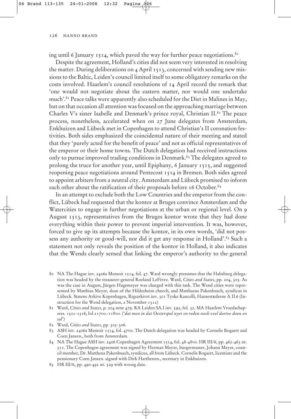ing until 6 January 1514, which paved the way for further peace negotiations.<sup>80</sup>

Despite the agreement, Holland's cities did not seem very interested in resolving the matter. During deliberations on 4 April 1513, concerned with sending new missions to the Baltic, Leiden's council limited itself to some obligatory remarks on the costs involved. Haarlem's council resolutions of 14 April record the remark that 'one would not negotiate about the eastern matter, nor would one undertake much'.81 Peace talks were apparently also scheduled for the Diet in Malines in May, but on that occasion all attention was focused on the approaching marriage between Charles V's sister Isabelle and Denmark's prince royal, Christian II.82 The peace process, nonetheless, accelerated when on 27 June delegates from Amsterdam, Enkhuizen and Lübeck met in Copenhagen to attend Christian's II coronation festivities. Both sides emphasized the coincidental nature of their meeting and stated that they 'purely acted for the benefit of peace' and not as official representatives of the emperor or their home towns. The Dutch delegation had received instructions only to pursue improved trading conditions in Denmark.<sup>83</sup> The delegates agreed to prolong the truce for another year, until Epiphany, 6 January 1515, and suggested reopening peace negotiations around Pentecost 1514 in Bremen. Both sides agreed to appoint arbiters from a neutral city. Amsterdam and Lübeck promised to inform each other about the ratification of their proposals before 16 October.<sup>84</sup>

In an attempt to exclude both the Low Countries and the emperor from the conflict, Lübeck had requested that the kontor at Bruges convince Amsterdam and the Watercities to engage in further negotiations at the urban or regional level. On 9 August 1513, representatives from the Bruges kontor wrote that they had done everything within their power to prevent imperial intervention. It was, however, forced to give up its attempts because the kontor, in its own words, 'did not possess any authority or good-will, nor did it get any response in Holland'.<sup>85</sup> Such a statement not only reveals the position of the kontor in Holland, it also indicates that the Wends clearly sensed that linking the emperor's authority to the general

- 80 NA The Hague inv. 2406a Memoir 1514, fol. 47. Ward wrongly presumes that the Habsburg delegation was headed by the treasurer-general Roeland LeFèvre. Ward, *Cities and States*, pp. 204, 305. As was the case in August, Jürgen Hagemeyer was charged with this task. The Wend cities were represented by Matthias Meyer, dean of the Hildesheim church, and Matthaeus Pakenbusch, syndicus in Lübeck. Statens Arkive Kopenhagen, Rigsarkivet inv. 301 Tyske Kancelli, Hansestæderne A II.6 (Instruction for the Wend delegation, 2 November 1512)
- 81 Ward, *Cities and States*, p. 204 note 479. RA Leiden SA.I inv. 592, fol. 32. MA Haarlem Vroedschapsres. 1501-1516, fol.117vo.-118vo. ('*dat men in dat Oesterspul nyet en reden noch veel dartoe doen en sal*')
- 82 Ward, *Cities and States*, pp. 305-306.
- 83 ASH inv. 2406a Memoir 1514, fol. 47vo. The Dutch delegation was headed by Cornelis Bogaert and Coen Janszn., both from Amsterdam.
- 84 NA The Hague ASH inv. 2406 Copenhagen Agreement 1514, fol. 48-48vo. HR III/6, pp. 462-463 nr. 511. The Copenhagen agreement was signed by Herman Meyer, burgermaster, Johann Meyer, council member, Dr. Mattheus Pakenbusch, syndicus, all from Lübeck. Cornelis Bogaert, licentiate and the pensionary Coen Janszn. signed with Dirk Harthenzn., secretary in Enkhuizen.
- 85 HR III/6, pp. 490-491 nr. 529 with wrong date.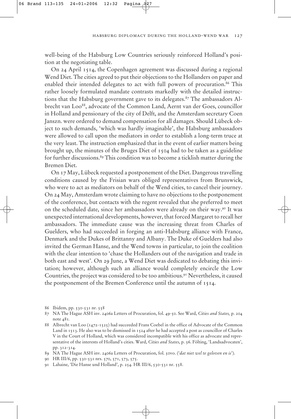well-being of the Habsburg Low Countries seriously reinforced Holland's position at the negotiating table.

On 24 April 1514, the Copenhagen agreement was discussed during a regional Wend Diet. The cities agreed to put their objections to the Hollanders on paper and enabled their intended delegates to act with full powers of procuration.<sup>86</sup> This rather loosely formulated mandate contrasts markedly with the detailed instructions that the Habsburg government gave to its delegates.<sup>87</sup> The ambassadors Albrecht van Loo<sup>88</sup>, advocate of the Common Land, Aernt van der Goes, councillor in Holland and pensionary of the city of Delft, and the Amsterdam secretary Coen Janszn. were ordered to demand compensation for all damages. Should Lübeck object to such demands, 'which was hardly imaginable', the Habsburg ambassadors were allowed to call upon the mediators in order to establish a long-term truce at the very least. The instruction emphasized that in the event of earlier matters being brought up, the minutes of the Bruges Diet of 1504 had to be taken as a guideline for further discussions.<sup>89</sup> This condition was to become a ticklish matter during the Bremen Diet.

On 17 May, Lübeck requested a postponement of the Diet. Dangerous travelling conditions caused by the Frisian wars obliged representatives from Brunswick, who were to act as mediators on behalf of the Wend cities, to cancel their journey. On 24 May, Amsterdam wrote claiming to have no objections to the postponement of the conference, but contacts with the regent revealed that she preferred to meet on the scheduled date, since her ambassadors were already on their way.90 It was unexpected international developments, however, that forced Margaret to recall her ambassadors. The immediate cause was the increasing threat from Charles of Guelders, who had succeeded in forging an anti-Habsburg alliance with France, Denmark and the Dukes of Brittanny and Albany. The Duke of Guelders had also invited the German Hanse, and the Wend towns in particular, to join the coalition with the clear intention to 'chase the Hollanders out of the navigation and trade in both east and west'. On 29 June, a Wend Diet was dedicated to debating this invitation; however, although such an alliance would completely encircle the Low Countries, the project was considered to be too ambitious.91 Nevertheless, it caused the postponement of the Bremen Conference until the autumn of 1514.

89 NA The Hague ASH inv. 2406a Letters of Procuration, fol. 50vo. ('*dat niet wel te geloven en is*').

<sup>86</sup> Ibidem, pp. 530-531 nr. 558

<sup>87</sup> NA The Hague ASH inv. 2406a Letters of Procuration, fol. 49-50. See Ward, *Cities and States,* p. 204 note 481*.*

<sup>88</sup> Albrecht van Loo (1472-1525) had succeeded Frans Coebel in the office of Advocate of the Common Land in 1513. He also was to be dismissed in 1524 after he had accepted a post as councillor of Charles V in the Court of Holland, which was considered incompatible with his office as advocate and representative of the interests of Holland's cities. Ward, *Cities and States*, p. 56. Fölting, 'Landsadvocaten', pp. 312-314.

<sup>90</sup> HR III/6, pp. 530-531 nrs. 570, 571, 573, 575.

<sup>91</sup> Lahaine, 'Die Hanse und Holland', p. 254. HR III/6, 530-531 nr. 558.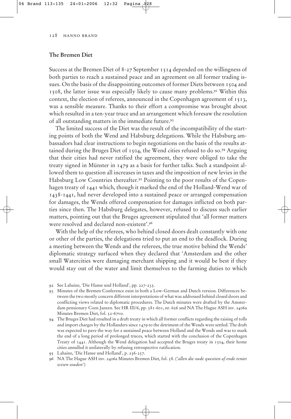#### **The Bremen Diet**

Success at the Bremen Diet of 8-27 September 1514 depended on the willingness of both parties to reach a sustained peace and an agreement on all former trading issues. On the basis of the disappointing outcomes of former Diets between 1504 and 1508, the latter issue was especially likely to cause many problems.92 Within this context, the election of referees, announced in the Copenhagen agreement of 1513, was a sensible measure. Thanks to their effort a compromise was brought about which resulted in a ten-year truce and an arrangement which foresaw the resolution of all outstanding matters in the immediate future.93

The limited success of the Diet was the result of the incompatibility of the starting points of both the Wend and Habsburg delegations. While the Habsburg ambassadors had clear instructions to begin negotiations on the basis of the results attained during the Bruges Diet of 1504, the Wend cities refused to do so.94 Arguing that their cities had never ratified the agreement, they were obliged to take the treaty signed in Münster in 1479 as a basis for further talks. Such a standpoint allowed them to question all increases in taxes and the imposition of new levies in the Habsburg Low Countries thereafter.<sup>95</sup> Pointing to the poor results of the Copenhagen treaty of 1441 which, though it marked the end of the Holland-Wend war of 1438-1441, had never developed into a sustained peace or arranged compensation for damages, the Wends offered compensation for damages inflicted on both parties since then. The Habsburg delegates, however, refused to discuss such earlier matters, pointing out that the Bruges agreement stipulated that 'all former matters were resolved and declared non-existent'.96

With the help of the referees, who behind closed doors dealt constantly with one or other of the parties, the delegations tried to put an end to the deadlock. During a meeting between the Wends and the referees, the true motive behind the Wends' diplomatic strategy surfaced when they declared that 'Amsterdam and the other small Watercities were damaging merchant shipping and it would be best if they would stay out of the water and limit themselves to the farming duties to which

- 94 The Bruges Diet had resulted in a draft treaty in which all former conflicts regarding the raising of tolls and import charges by the Hollanders since 1479 to the detriment of the Wends were settled. The draft was expected to pave the way for a sustained peace between Holland and the Wends and was to mark the end of a long period of prolonged truces, which started with the conclusion of the Copenhagen Treaty of 1441. Although the Wend delegation had accepted the Bruges treaty in 1504, their home cities annulled it unilaterally by refusing retrospective ratification.
- 95 Lahaine, 'Die Hanse und Holland', p. 256-257.
- 96 NA The Hague ASH inv. 2406a Minutes Bremen Diet, fol. 58. ('*allen die oude questien af ende teniet wesen souden*')

<sup>92</sup> See Lahaine, 'Die Hanse und Holland', pp. 227-235.

<sup>93</sup> Minutes of the Bremen Conference exist in both a Low-German and Dutch version. Differences between the two mostly concern different interpretations of what was addressed behind closed doors and conflicting views related to diplomatic procedures. The Dutch minutes were drafted by the Amsterdam pensionary Coen Janszn. See HR III/6, pp. 581-601, nr. 626 and NA The Hague ASH inv. 2406a Minutes Bremen Diet, fol. 52-67vo.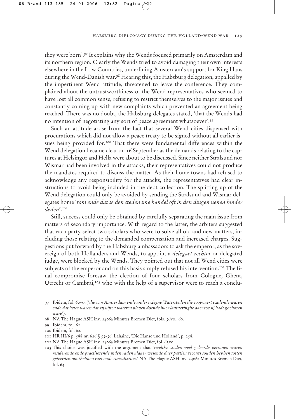they were born'.97 It explains why the Wends focused primarily on Amsterdam and its northern region. Clearly the Wends tried to avoid damaging their own interests elsewhere in the Low Countries, underlining Amsterdam's support for King Hans during the Wend-Danish war.<sup>98</sup> Hearing this, the Habsburg delegation, appalled by the impertinent Wend attitude, threatened to leave the conference. They complained about the untrustworthiness of the Wend representatives who seemed to have lost all common sense, refusing to restrict themselves to the major issues and constantly coming up with new complaints which prevented an agreement being reached. There was no doubt, the Habsburg delegates stated, 'that the Wends had no intention of negotiating any sort of peace agreement whatsoever'.99

Such an attitude arose from the fact that several Wend cities dispensed with procurations which did not allow a peace treaty to be signed without all earlier issues being provided for.<sup>100</sup> That there were fundamental differences within the Wend delegation became clear on 16 September as the demands relating to the captures at Helsingör and Hella were about to be discussed. Since neither Stralsund nor Wismar had been involved in the attacks, their representatives could not produce the mandates required to discuss the matter. As their home towns had refused to acknowledge any responsibility for the attacks, the representatives had clear instructions to avoid being included in the debt collection. The splitting up of the Wend delegation could only be avoided by sending the Stralsund and Wismar delegates home '*tom ende dat se den steden ime handel oft in den dingen nenen hinder deden*'.101

Still, success could only be obtained by carefully separating the main issue from matters of secondary importance. With regard to the latter, the arbiters suggested that each party select two scholars who were to solve all old and new matters, including those relating to the demanded compensation and increased charges. Suggestions put forward by the Habsburg ambassadors to ask the emperor, as the sovereign of both Hollanders and Wends, to appoint a *delegaet rechter* or delegated judge, were blocked by the Wends. They pointed out that not all Wend cities were subjects of the emperor and on this basis simply refused his intervention.<sup>102</sup> The final compromise foresaw the election of four scholars from Cologne, Ghent, Utrecht or Cambrai,<sup>103</sup> who with the help of a supervisor were to reach a conclu-

- 98 NA The Hague ASH inv. 2406a Minutes Bremen Diet, fols. 56vo., 60.
- 99 Ibidem, fol. 61.
- 100 Ibidem, fol. 62.
- 101 HR III/6 p. 588 nr. 626 § 55-56. Lahaine, 'Die Hanse und Holland', p. 258.
- 102 NA The Hague ASH inv. 2406a Minutes Bremen Diet, fol. 63vo.
- 103 This choice was justified with the argument that *'twelcke steden veel geleerde personen waren residerende ende practiserende inden raden aldaer wesende daer partien recours souden hebben totten geleerden om thebben raet ende consultatien*.' NA The Hague ASH inv. 2406a Minutes Bremen Diet, fol. 64.

<sup>97</sup> Ibidem, fol. 60vo. ('*die van Amsterdam ende andere cleyne Watersteden die coopvaert scadende waren ende dat beter waren dat zij uijten wateren bleven doende huer lantneringhe daer toe sij badt gheboren ware*').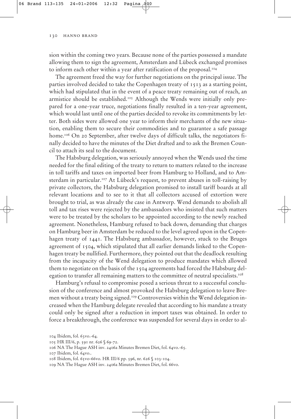sion within the coming two years. Because none of the parties possessed a mandate allowing them to sign the agreement, Amsterdam and Lübeck exchanged promises to inform each other within a year after ratification of the proposal.<sup>104</sup>

The agreement freed the way for further negotiations on the principal issue. The parties involved decided to take the Copenhagen treaty of 1513 as a starting point, which had stipulated that in the event of a peace treaty remaining out of reach, an armistice should be established.<sup>105</sup> Although the Wends were initially only prepared for a one-year truce, negotiations finally resulted in a ten-year agreement, which would last until one of the parties decided to revoke its commitments by letter. Both sides were allowed one year to inform their merchants of the new situation, enabling them to secure their commodities and to guarantee a safe passage home.<sup>106</sup> On 20 September, after twelve days of difficult talks, the negotiators finally decided to have the minutes of the Diet drafted and to ask the Bremen Council to attach its seal to the document.

The Habsburg delegation, was seriously annoyed when the Wends used the time needed for the final editing of the treaty to return to matters related to the increase in toll tariffs and taxes on imported beer from Hamburg to Holland, and to Amsterdam in particular.<sup>107</sup> At Lübeck's request, to prevent abuses in toll-raising by private collectors, the Habsburg delegation promised to install tariff boards at all relevant locations and to see to it that all collectors accused of extortion were brought to trial, as was already the case in Antwerp. Wend demands to abolish all toll and tax rises were rejected by the ambassadors who insisted that such matters were to be treated by the scholars to be appointed according to the newly reached agreement. Nonetheless, Hamburg refused to back down, demanding that charges on Hamburg beer in Amsterdam be reduced to the level agreed upon in the Copenhagen treaty of 1441. The Habsburg ambassador, however, stuck to the Bruges agreement of 1504, which stipulated that all earlier demands linked to the Copenhagen treaty be nullified. Furthermore, they pointed out that the deadlock resulting from the incapacity of the Wend delegation to produce mandates which allowed them to negotiate on the basis of the 1504 agreements had forced the Habsburg delegation to transfer all remaining matters to the committee of neutral specialists.<sup>108</sup>

Hamburg's refusal to compromise posed a serious threat to a successful conclusion of the conference and almost provoked the Habsburg delegation to leave Bremen without a treaty being signed.<sup>109</sup> Controversies within the Wend delegation increased when the Hamburg delegate revealed that according to his mandate a treaty could only be signed after a reduction in import taxes was obtained. In order to force a breakthrough, the conference was suspended for several days in order to al-

<sup>104</sup> Ibidem, fol. 63vo.-64.

<sup>105</sup> HR III/6, p. 591 nr. 626 § 69-72.

<sup>106</sup> NA The Hague ASH inv. 2406a Minutes Bremen Diet, fol. 64vo.-65.

<sup>107</sup> Ibidem, fol. 64vo..

<sup>108</sup> Ibidem, fol. 65vo-66vo. HR III/6 pp. 596, nr. 626 § 103-104.

<sup>109</sup> NA The Hague ASH inv. 2406a Minutes Bremen Diet, fol. 66vo.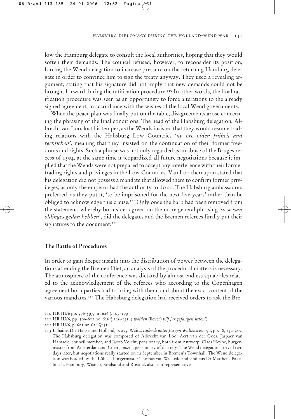#### habsburg diplomacy during the holland-wend war 131

low the Hamburg delegate to consult the local authorities, hoping that they would soften their demands. The council refused, however, to reconsider its position, forcing the Wend delegation to increase pressure on the returning Hamburg delegate in order to convince him to sign the treaty anyway. They used a revealing argument, stating that his signature did not imply that new demands could not be brought forward during the ratification procedure.<sup>110</sup> In other words, the final ratification procedure was seen as an opportunity to force alterations to the already signed agreement, in accordance with the wishes of the local Wend governments.

When the peace plan was finally put on the table, disagreements arose concerning the phrasing of the final conditions. The head of the Habsburg delegation, Albrecht van Loo, lost his temper, as the Wends insisted that they would resume trading relations with the Habsburg Low Countries '*up ore olden friiheit and rechticheit*', meaning that they insisted on the continuation of their former freedoms and rights. Such a phrase was not only regarded as an abuse of the Bruges recess of 1504, at the same time it jeopardized all future negotiations because it implied that the Wends were not prepared to accept any interference with their former trading rights and privileges in the Low Countries. Van Loo thereupon stated that his delegation did not possess a mandate that allowed them to confirm former privileges, as only the emperor had the authority to do so. The Habsburg ambassadors preferred, as they put it, 'to be imprisoned for the next five years' rather than be obliged to acknowledge this clause.111 Only once the barb had been removed from the statement, whereby both sides agreed on the more general phrasing '*so se van oldinges gedan hebben*', did the delegates and the Bremen referees finally put their signatures to the document.<sup>112</sup>

#### **The Battle of Procedures**

In order to gain deeper insight into the distribution of power between the delegations attending the Bremen Diet, an analysis of the procedural matters is necessary. The atmosphere of the conference was dictated by almost endless squabbles related to the acknowledgement of the referees who according to the Copenhagen agreement both parties had to bring with them, and about the exact content of the various mandates.<sup>113</sup> The Habsburg delegation had received orders to ask the Bre-

- 110 HR III/6 pp. 596-597, nr. 626 § 107-109
- 111 HR III/6, pp. 599-601 no. 626 § 126-131. ('*wolden* (liever) *viif jar gefangen sitten*').
- 112 HR III/6, p. 601 nr. 626 §131

113 Lahaine, Die Hanse und Holland, p. 255. Waitz, *Lübeck unter Jurgen Wullenwever*, I, pp. 18, 254-255. The Habsburg delegation was composed of Albrecht van Loo, Aert van der Goes, Jaspaer van Hamaele, council member, and Jacob Voicht, pensionary, both from Antwerp, Claes Heyne, burgermaster from Amsterdam and Coen Janszn., pensionary of that city. The Wend delegation arrived two days later, but negotiations really started on 12 September in Bremen's Townhall. The Wend delegation was headed by the Lübeck burgermaster Thomas van Wickede and sindicus Dr Mattheus Pakebusch. Hamburg, Wismar, Stralsund and Rostock also sent representatives.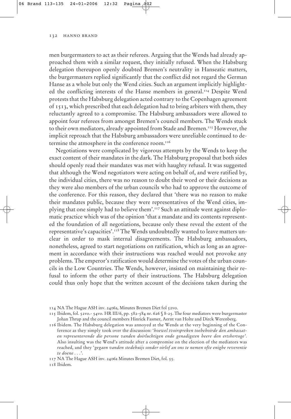men burgermasters to act as their referees. Arguing that the Wends had already approached them with a similar request, they initially refused. When the Habsburg delegation thereupon openly doubted Bremen's neutrality in Hanseatic matters, the burgermasters replied significantly that the conflict did not regard the German Hanse as a whole but only the Wend cities. Such an argument implicitly highlighted the conflicting interests of the Hanse members in general.114 Despite Wend protests that the Habsburg delegation acted contrary to the Copenhagen agreement of 1513, which prescribed that each delegation had to bring arbiters with them, they reluctantly agreed to a compromise. The Habsburg ambassadors were allowed to appoint four referees from amongst Bremen's council members. The Wends stuck to their own mediators, already appointed from Stade and Bremen.<sup>115</sup> However, the implicit reproach that the Habsburg ambassadors were unreliable continued to determine the atmosphere in the conference room.<sup>116</sup>

Negotiations were complicated by vigorous attempts by the Wends to keep the exact content of their mandates in the dark. The Habsburg proposal that both sides should openly read their mandates was met with haughty refusal. It was suggested that although the Wend negotiators were acting on behalf of, and were ratified by, the individual cities, there was no reason to doubt their word or their decisions as they were also members of the urban councils who had to approve the outcome of the conference. For this reason, they declared that 'there was no reason to make their mandates public, because they were representatives of the Wend cities, implying that one simply had to believe them'.117 Such an attitude went against diplomatic practice which was of the opinion 'that a mandate and its contents represented the foundation of all negotiations, because only these reveal the extent of the representative's capacities'.118 The Wends undoubtedly wanted to leave matters unclear in order to mask internal disagreements. The Habsburg ambassadors, nonetheless, agreed to start negotiations on ratification, which as long as an agreement in accordance with their instructions was reached would not provoke any problems. The emperor's ratification would determine the votes of the urban councils in the Low Countries. The Wends, however, insisted on maintaining their refusal to inform the other party of their instructions. The Habsburg delegation could thus only hope that the written account of the decisions taken during the

116 Ibidem. The Habsburg delegation was annoyed at the Wends at the very beginning of the Conference as they simply took over the discussion: '*hoewel tvoirspreken toebehoirde den ambassaten representerende die persone vanden doirluchtigen ende genadigsten heere den ertshertoge'*. Also insulting was the Wend's attitude after a compromise on the election of the mediators was reached, and they '*gegaen vanden stedehuijs sonder oirlof an ons te nemen ofte enighe reverentie te doene . . .*'.

117 NA The Hague ASH inv. 2406a Minutes Bremen Diet, fol. 55.

118 Ibidem.

<sup>114</sup> NA The Hague ASH inv. 2406a, Minutes Bremen Diet fol 52vo.

<sup>115</sup> Ibidem, fol. 52vo.- 54vo. HR III/6, pp. 582-584 nr. 626 § 8-25. The four mediators were burgermaster Johan Thrup and the council members Hinrick Fasmer, Aernt van Holte and Dirck Werenberg.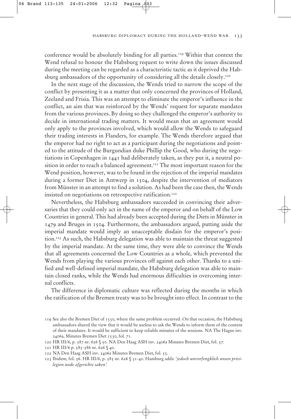conference would be absolutely binding for all parties.<sup>119</sup> Within that context the Wend refusal to honour the Habsburg request to write down the issues discussed during the meeting can be regarded as a characteristic tactic as it deprived the Habsburg ambassadors of the opportunity of considering all the details closely.120

In the next stage of the discussion, the Wends tried to narrow the scope of the conflict by presenting it as a matter that only concerned the provinces of Holland, Zeeland and Frisia. This was an attempt to eliminate the emperor's influence in the conflict, an aim that was reinforced by the Wends' request for separate mandates from the various provinces. By doing so they challenged the emperor's authority to decide in international trading matters. It would mean that an agreement would only apply to the provinces involved, which would allow the Wends to safeguard their trading interests in Flanders, for example. The Wends therefore argued that the emperor had no right to act as a participant during the negotiations and pointed to the attitude of the Burgundian duke Phillip the Good, who during the negotiations in Copenhagen in 1441 had deliberately taken, as they put it, a neutral position in order to reach a balanced agreement.<sup>121</sup> The most important reason for the Wend position, however, was to be found in the rejection of the imperial mandates during a former Diet in Antwerp in 1504, despite the intervention of mediators from Münster in an attempt to find a solution. As had been the case then, the Wends insisted on negotiations on retrospective ratification.<sup>122</sup>

Nevertheless, the Habsburg ambassadors succeeded in convincing their adversaries that they could only act in the name of the emperor and on behalf of the Low Countries in general. This had already been accepted during the Diets in Münster in 1479 and Bruges in 1504. Furthermore, the ambassadors argued, putting aside the imperial mandate would imply an unacceptable disdain for the emperor's position.<sup>123</sup> As such, the Habsburg delegation was able to maintain the threat suggested by the imperial mandate. At the same time, they were able to convince the Wends that all agreements concerned the Low Countries as a whole, which prevented the Wends from playing the various provinces off against each other. Thanks to a unified and well-defined imperial mandate, the Habsburg delegation was able to maintain closed ranks, while the Wends had enormous difficulties in overcoming internal conflicts.

The difference in diplomatic culture was reflected during the months in which the ratification of the Bremen treaty was to be brought into effect. In contrast to the

<sup>119</sup> See also the Bremen Diet of 1530, where the same problem occurred. On that occasion, the Habsburg ambassadors shared the view that it would be useless to ask the Wends to inform them of the content of their mandates. It would be sufficient to keep reliable minutes of the sessions. NA The Hague inv. 2406a, Minutes Bremen Diet 1530, fol. 71.

<sup>120</sup> HR III/6, p. 587 nr. 626 § 50. NA Den Haag ASH inv. 2406a Minutes Bremen Diet, fol. 57.

<sup>121</sup> HR III/6 p. 585-586 nr. 626 § 40.

<sup>122</sup> NA Den Haag ASH inv. 2406a Minutes Bremen Diet, fol. 55.

<sup>123</sup> Ibidem, fol. 56. HR III/6, p. 585 nr. 626 § 31-40. Hamburg adds: '*jedoch unvorfengklich unsen privilegien unde afgerichte saken'.*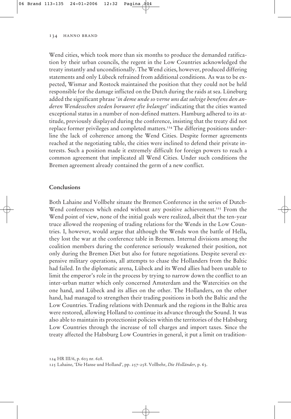Wend cities, which took more than six months to produce the demanded ratification by their urban councils, the regent in the Low Countries acknowledged the treaty instantly and unconditionally. The Wend cities, however, produced differing statements and only Lübeck refrained from additional conditions. As was to be expected, Wismar and Rostock maintained the position that they could not be held responsible for the damage inflicted on the Dutch during the raids at sea. Lüneburg added the significant phrase '*in deme unde so verne uns dat sulvige benefens den anderen Wendesschen steden boruuret efte belanget*' indicating that the cities wanted exceptional status in a number of non-defined matters. Hamburg adhered to its attitude, previously displayed during the conference, insisting that the treaty did not replace former privileges and completed matters.<sup>124</sup> The differing positions underline the lack of coherence among the Wend Cities. Despite former agreements reached at the negotiating table, the cities were inclined to defend their private interests. Such a position made it extremely difficult for foreign powers to reach a common agreement that implicated all Wend Cities. Under such conditions the Bremen agreement already contained the germ of a new conflict.

#### **Conclusions**

Both Lahaine and Vollbehr situate the Bremen Conference in the series of Dutch-Wend conferences which ended without any positive achievement.<sup>125</sup> From the Wend point of view, none of the initial goals were realized, albeit that the ten-year truce allowed the reopening of trading relations for the Wends in the Low Countries. I, however, would argue that although the Wends won the battle of Hella, they lost the war at the conference table in Bremen. Internal divisions among the coalition members during the conference seriously weakened their position, not only during the Bremen Diet but also for future negotiations. Despite several expensive military operations, all attempts to chase the Hollanders from the Baltic had failed. In the diplomatic arena, Lübeck and its Wend allies had been unable to limit the emperor's role in the process by trying to narrow down the conflict to an inter-urban matter which only concerned Amsterdam and the Watercities on the one hand, and Lübeck and its allies on the other. The Hollanders, on the other hand, had managed to strengthen their trading positions in both the Baltic and the Low Countries. Trading relations with Denmark and the regions in the Baltic area were restored, allowing Holland to continue its advance through the Sound. It was also able to maintain its protectionist policies within the territories of the Habsburg Low Countries through the increase of toll charges and import taxes. Since the treaty affected the Habsburg Low Countries in general, it put a limit on tradition-

<sup>124</sup> HR III/6, p. 603 nr. 628.

<sup>125</sup> Lahaine, 'Die Hanse und Holland', pp. 257-258. Vollbehr, *Die Holländer*, p. 63.